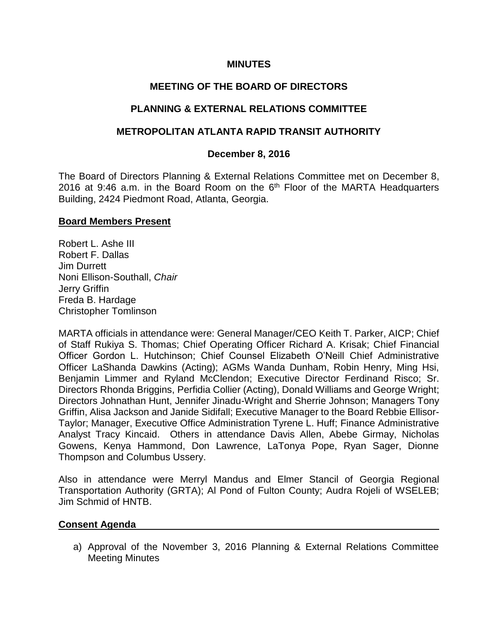#### **MINUTES**

## **MEETING OF THE BOARD OF DIRECTORS**

### **PLANNING & EXTERNAL RELATIONS COMMITTEE**

### **METROPOLITAN ATLANTA RAPID TRANSIT AUTHORITY**

#### **December 8, 2016**

The Board of Directors Planning & External Relations Committee met on December 8, 2016 at 9:46 a.m. in the Board Room on the  $6<sup>th</sup>$  Floor of the MARTA Headquarters Building, 2424 Piedmont Road, Atlanta, Georgia.

#### **Board Members Present**

Robert L. Ashe III Robert F. Dallas Jim Durrett Noni Ellison-Southall, *Chair* Jerry Griffin Freda B. Hardage Christopher Tomlinson

MARTA officials in attendance were: General Manager/CEO Keith T. Parker, AICP; Chief of Staff Rukiya S. Thomas; Chief Operating Officer Richard A. Krisak; Chief Financial Officer Gordon L. Hutchinson; Chief Counsel Elizabeth O'Neill Chief Administrative Officer LaShanda Dawkins (Acting); AGMs Wanda Dunham, Robin Henry, Ming Hsi, Benjamin Limmer and Ryland McClendon; Executive Director Ferdinand Risco; Sr. Directors Rhonda Briggins, Perfidia Collier (Acting), Donald Williams and George Wright; Directors Johnathan Hunt, Jennifer Jinadu-Wright and Sherrie Johnson; Managers Tony Griffin, Alisa Jackson and Janide Sidifall; Executive Manager to the Board Rebbie Ellisor-Taylor; Manager, Executive Office Administration Tyrene L. Huff; Finance Administrative Analyst Tracy Kincaid. Others in attendance Davis Allen, Abebe Girmay, Nicholas Gowens, Kenya Hammond, Don Lawrence, LaTonya Pope, Ryan Sager, Dionne Thompson and Columbus Ussery.

Also in attendance were Merryl Mandus and Elmer Stancil of Georgia Regional Transportation Authority (GRTA); Al Pond of Fulton County; Audra Rojeli of WSELEB; Jim Schmid of HNTB.

#### **Consent Agenda**

a) Approval of the November 3, 2016 Planning & External Relations Committee Meeting Minutes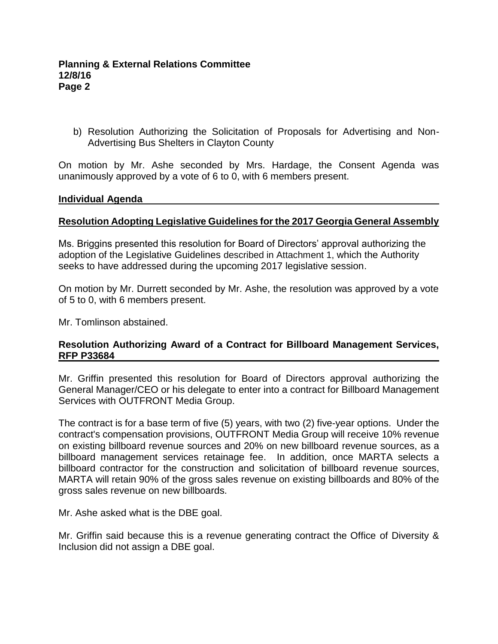b) Resolution Authorizing the Solicitation of Proposals for Advertising and Non-Advertising Bus Shelters in Clayton County

On motion by Mr. Ashe seconded by Mrs. Hardage, the Consent Agenda was unanimously approved by a vote of 6 to 0, with 6 members present.

#### **Individual Agenda**

#### **Resolution Adopting Legislative Guidelines for the 2017 Georgia General Assembly**

Ms. Briggins presented this resolution for Board of Directors' approval authorizing the adoption of the Legislative Guidelines described in Attachment 1, which the Authority seeks to have addressed during the upcoming 2017 legislative session.

On motion by Mr. Durrett seconded by Mr. Ashe, the resolution was approved by a vote of 5 to 0, with 6 members present.

Mr. Tomlinson abstained.

#### **Resolution Authorizing Award of a Contract for Billboard Management Services, RFP P33684**

Mr. Griffin presented this resolution for Board of Directors approval authorizing the General Manager/CEO or his delegate to enter into a contract for Billboard Management Services with OUTFRONT Media Group.

The contract is for a base term of five (5) years, with two (2) five-year options. Under the contract's compensation provisions, OUTFRONT Media Group will receive 10% revenue on existing billboard revenue sources and 20% on new billboard revenue sources, as a billboard management services retainage fee. In addition, once MARTA selects a billboard contractor for the construction and solicitation of billboard revenue sources, MARTA will retain 90% of the gross sales revenue on existing billboards and 80% of the gross sales revenue on new billboards.

Mr. Ashe asked what is the DBE goal.

Mr. Griffin said because this is a revenue generating contract the Office of Diversity & Inclusion did not assign a DBE goal.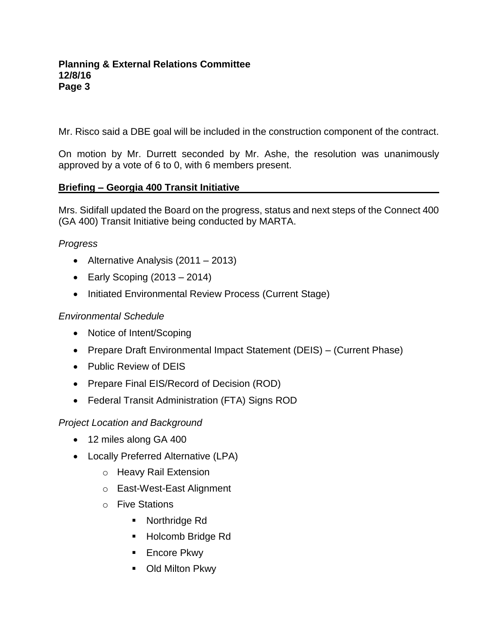Mr. Risco said a DBE goal will be included in the construction component of the contract.

On motion by Mr. Durrett seconded by Mr. Ashe, the resolution was unanimously approved by a vote of 6 to 0, with 6 members present.

### **Briefing – Georgia 400 Transit Initiative**

Mrs. Sidifall updated the Board on the progress, status and next steps of the Connect 400 (GA 400) Transit Initiative being conducted by MARTA.

# *Progress*

- Alternative Analysis (2011 2013)
- Early Scoping  $(2013 2014)$
- Initiated Environmental Review Process (Current Stage)

### *Environmental Schedule*

- Notice of Intent/Scoping
- Prepare Draft Environmental Impact Statement (DEIS) (Current Phase)
- Public Review of DEIS
- Prepare Final EIS/Record of Decision (ROD)
- Federal Transit Administration (FTA) Signs ROD

### *Project Location and Background*

- 12 miles along GA 400
- Locally Preferred Alternative (LPA)
	- o Heavy Rail Extension
	- o East-West-East Alignment
	- o Five Stations
		- **Northridge Rd**
		- Holcomb Bridge Rd
		- **Encore Pkwy**
		- **-** Old Milton Pkwy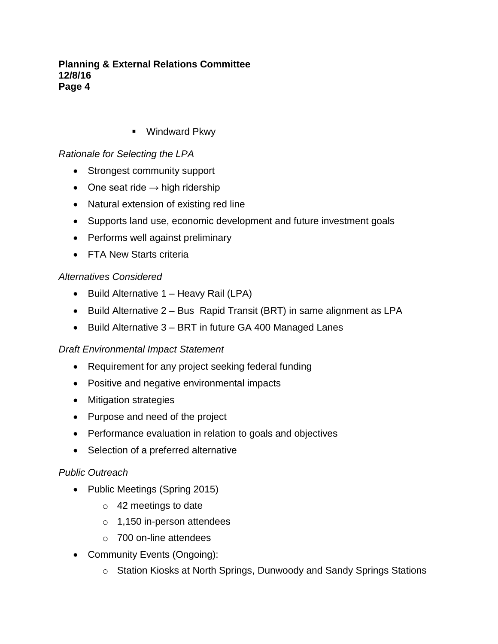■ Windward Pkwy

# *Rationale for Selecting the LPA*

- Strongest community support
- One seat ride  $\rightarrow$  high ridership
- Natural extension of existing red line
- Supports land use, economic development and future investment goals
- Performs well against preliminary
- FTA New Starts criteria

# *Alternatives Considered*

- Build Alternative 1 Heavy Rail (LPA)
- Build Alternative 2 Bus Rapid Transit (BRT) in same alignment as LPA
- Build Alternative 3 BRT in future GA 400 Managed Lanes

### *Draft Environmental Impact Statement*

- Requirement for any project seeking federal funding
- Positive and negative environmental impacts
- Mitigation strategies
- Purpose and need of the project
- Performance evaluation in relation to goals and objectives
- Selection of a preferred alternative

### *Public Outreach*

- Public Meetings (Spring 2015)
	- o 42 meetings to date
	- o 1,150 in-person attendees
	- o 700 on-line attendees
- Community Events (Ongoing):
	- o Station Kiosks at North Springs, Dunwoody and Sandy Springs Stations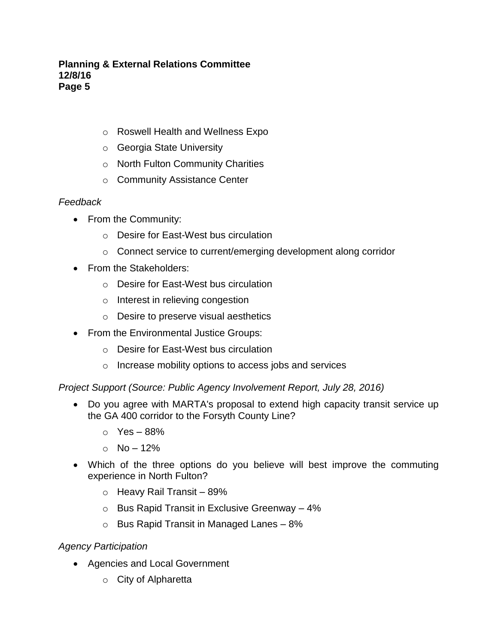- o Roswell Health and Wellness Expo
- o Georgia State University
- o North Fulton Community Charities
- o Community Assistance Center

# *Feedback*

- From the Community:
	- o Desire for East-West bus circulation
	- o Connect service to current/emerging development along corridor
- From the Stakeholders:
	- o Desire for East-West bus circulation
	- o Interest in relieving congestion
	- o Desire to preserve visual aesthetics
- From the Environmental Justice Groups:
	- o Desire for East-West bus circulation
	- o Increase mobility options to access jobs and services

*Project Support (Source: Public Agency Involvement Report, July 28, 2016)*

- Do you agree with MARTA's proposal to extend high capacity transit service up the GA 400 corridor to the Forsyth County Line?
	- $\circ$  Yes 88%
	- $O$  No 12%
- Which of the three options do you believe will best improve the commuting experience in North Fulton?
	- $\circ$  Heavy Rail Transit 89%
	- $\circ$  Bus Rapid Transit in Exclusive Greenway 4%
	- $\circ$  Bus Rapid Transit in Managed Lanes 8%

# *Agency Participation*

- Agencies and Local Government
	- o City of Alpharetta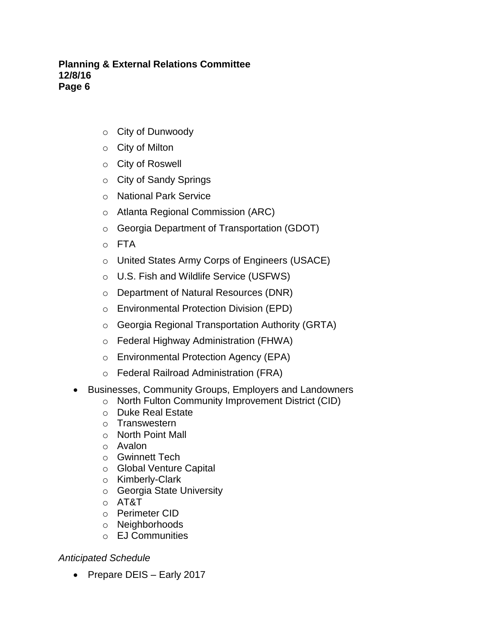- o City of Dunwoody
- o City of Milton
- o City of Roswell
- o City of Sandy Springs
- o National Park Service
- o Atlanta Regional Commission (ARC)
- o Georgia Department of Transportation (GDOT)
- o FTA
- o United States Army Corps of Engineers (USACE)
- o U.S. Fish and Wildlife Service (USFWS)
- o Department of Natural Resources (DNR)
- o Environmental Protection Division (EPD)
- o Georgia Regional Transportation Authority (GRTA)
- o Federal Highway Administration (FHWA)
- o Environmental Protection Agency (EPA)
- o Federal Railroad Administration (FRA)
- Businesses, Community Groups, Employers and Landowners
	- o North Fulton Community Improvement District (CID)
	- o Duke Real Estate
	- o Transwestern
	- o North Point Mall
	- o Avalon
	- o Gwinnett Tech
	- o Global Venture Capital
	- o Kimberly-Clark
	- o Georgia State University
	- o AT&T
	- o Perimeter CID
	- o Neighborhoods
	- o EJ Communities

### *Anticipated Schedule*

• Prepare DEIS - Early 2017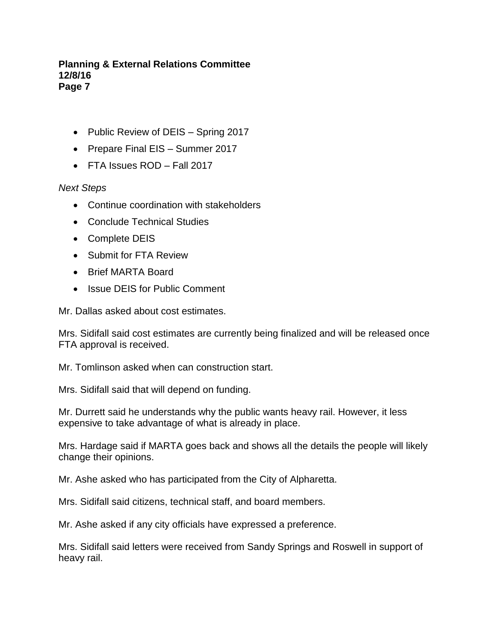- Public Review of DEIS Spring 2017
- Prepare Final EIS Summer 2017
- FTA Issues ROD Fall 2017

# *Next Steps*

- Continue coordination with stakeholders
- Conclude Technical Studies
- Complete DEIS
- Submit for FTA Review
- Brief MARTA Board
- Issue DEIS for Public Comment

Mr. Dallas asked about cost estimates.

Mrs. Sidifall said cost estimates are currently being finalized and will be released once FTA approval is received.

Mr. Tomlinson asked when can construction start.

Mrs. Sidifall said that will depend on funding.

Mr. Durrett said he understands why the public wants heavy rail. However, it less expensive to take advantage of what is already in place.

Mrs. Hardage said if MARTA goes back and shows all the details the people will likely change their opinions.

Mr. Ashe asked who has participated from the City of Alpharetta.

Mrs. Sidifall said citizens, technical staff, and board members.

Mr. Ashe asked if any city officials have expressed a preference.

Mrs. Sidifall said letters were received from Sandy Springs and Roswell in support of heavy rail.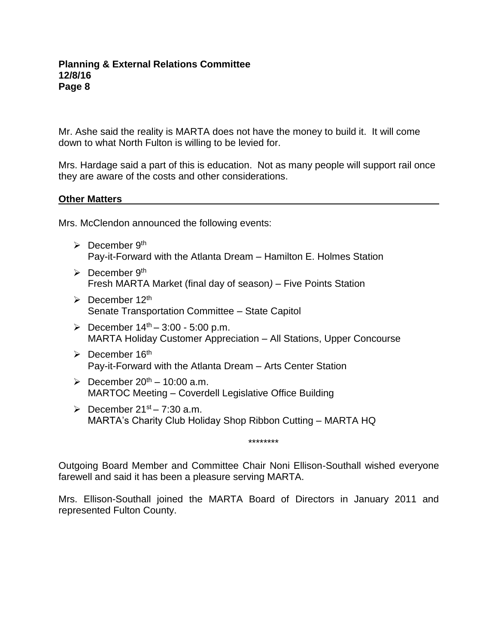Mr. Ashe said the reality is MARTA does not have the money to build it. It will come down to what North Fulton is willing to be levied for.

Mrs. Hardage said a part of this is education. Not as many people will support rail once they are aware of the costs and other considerations.

#### **Other Matters**

Mrs. McClendon announced the following events:

- $\triangleright$  December 9<sup>th</sup> Pay-it-Forward with the Atlanta Dream – Hamilton E. Holmes Station
- $\triangleright$  December 9<sup>th</sup> Fresh MARTA Market (final day of season*)* – Five Points Station
- $\triangleright$  December 12<sup>th</sup> Senate Transportation Committee – State Capitol
- $\geq$  December 14<sup>th</sup> 3:00 5:00 p.m. MARTA Holiday Customer Appreciation – All Stations, Upper Concourse
- $\triangleright$  December 16<sup>th</sup> Pay-it-Forward with the Atlanta Dream – Arts Center Station
- $\geq$  December 20<sup>th</sup> 10:00 a.m. MARTOC Meeting – Coverdell Legislative Office Building
- $\triangleright$  December 21<sup>st</sup> 7:30 a.m. MARTA's Charity Club Holiday Shop Ribbon Cutting – MARTA HQ

\*\*\*\*\*\*\*\*

Outgoing Board Member and Committee Chair Noni Ellison-Southall wished everyone farewell and said it has been a pleasure serving MARTA.

Mrs. Ellison-Southall joined the MARTA Board of Directors in January 2011 and represented Fulton County.